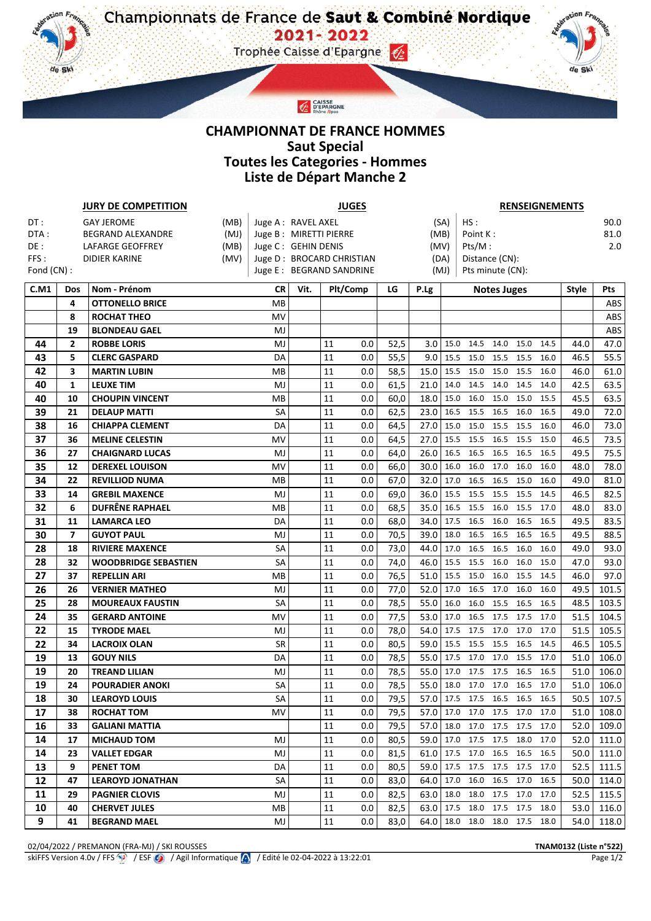## **CHAMPIONNAT DE FRANCE HOMMES Saut Special Toutes les Categories - Hommes Liste de Départ Manche 2**

CAISSE<br>D'EPARGNE

ن.

| <b>JURY DE COMPETITION</b> |                          |                             |                        | <b>JUGES</b>        |      |             |                           |      |           |          | <b>RENSEIGNEMENTS</b>         |                    |                     |      |      |       |  |
|----------------------------|--------------------------|-----------------------------|------------------------|---------------------|------|-------------|---------------------------|------|-----------|----------|-------------------------------|--------------------|---------------------|------|------|-------|--|
| DT:                        |                          | <b>GAY JEROME</b>           | Juge A: RAVEL AXEL     |                     |      | HS:<br>(SA) |                           |      |           |          | 90.0                          |                    |                     |      |      |       |  |
| DTA:                       |                          | BEGRAND ALEXANDRE           | Juge B: MIRETTI PIERRE |                     |      |             |                           | (MB) |           | Point K: |                               |                    | 81.0                |      |      |       |  |
| DE:                        | LAFARGE GEOFFREY<br>(MB) |                             |                        | Juge C: GEHIN DENIS |      |             | (MV)                      |      |           | Pts/M:   |                               |                    |                     |      | 2.0  |       |  |
| FFS:                       |                          | <b>DIDIER KARINE</b>        | (MV)                   |                     |      |             | Juge D: BROCARD CHRISTIAN |      |           | (DA)     | Distance (CN):                |                    |                     |      |      |       |  |
| Fond $(CN)$ :              |                          |                             |                        |                     |      |             | Juge E: BEGRAND SANDRINE  |      |           | (MJ)     | Pts minute (CN):              |                    |                     |      |      |       |  |
| C.M1                       | <b>Dos</b>               | Nom - Prénom                |                        | CR                  | Vit. | Plt/Comp    |                           | LG   | P.Lg      |          |                               | <b>Notes Juges</b> | <b>Style</b>        | Pts  |      |       |  |
|                            | 4                        | <b>OTTONELLO BRICE</b>      |                        | MB                  |      |             |                           |      |           |          |                               |                    |                     |      |      | ABS   |  |
|                            | 8                        | <b>ROCHAT THEO</b>          |                        | MV                  |      |             |                           |      |           |          |                               |                    |                     |      |      | ABS   |  |
|                            | 19                       | <b>BLONDEAU GAEL</b>        |                        | MJ                  |      |             |                           |      |           |          |                               |                    |                     |      |      | ABS   |  |
| 44                         | $\overline{2}$           | <b>ROBBE LORIS</b>          |                        | MJ                  |      | 11          | 0.0                       | 52,5 | 3.0       | 15.0     | 14.5                          | 14.0               | 15.0                | 14.5 | 44.0 | 47.0  |  |
| 43                         | 5                        | <b>CLERC GASPARD</b>        |                        | DA                  |      | 11          | 0.0                       | 55,5 | 9.0       | 15.5     | 15.0                          | 15.5               | 15.5                | 16.0 | 46.5 | 55.5  |  |
| 42                         | 3                        | <b>MARTIN LUBIN</b>         |                        | MB                  |      | 11          | 0.0                       | 58,5 | 15.0      | 15.5     | 15.0                          | 15.0               | 15.5                | 16.0 | 46.0 | 61.0  |  |
| 40                         | 1                        | <b>LEUXE TIM</b>            |                        | MJ                  |      | 11          | 0.0                       | 61,5 | 21.0      | 14.0     | 14.5                          | 14.0               | 14.5                | 14.0 | 42.5 | 63.5  |  |
| 40                         | 10                       | <b>CHOUPIN VINCENT</b>      |                        | МB                  |      | 11          | 0.0                       | 60,0 | 18.0      | 15.0     | 16.0                          | 15.0               | 15.0                | 15.5 | 45.5 | 63.5  |  |
| 39                         | 21                       | <b>DELAUP MATTI</b>         |                        | SA                  |      | 11          | 0.0                       | 62,5 | 23.0      | 16.5     | 15.5                          | 16.5               | 16.0                | 16.5 | 49.0 | 72.0  |  |
| 38                         | 16                       | <b>CHIAPPA CLEMENT</b>      |                        | DA                  |      | 11          | 0.0                       | 64,5 | 27.0      | 15.0     | 15.0                          | 15.5               | 15.5                | 16.0 | 46.0 | 73.0  |  |
| 37                         | 36                       | <b>MELINE CELESTIN</b>      |                        | MV                  |      | 11          | 0.0                       | 64,5 | 27.0      | 15.5     | 15.5                          | 16.5               | 15.5                | 15.0 | 46.5 | 73.5  |  |
| 36                         | 27                       | <b>CHAIGNARD LUCAS</b>      |                        | MJ                  |      | 11          | 0.0                       | 64,0 | 26.0      | 16.5     | 16.5                          | 16.5               | 16.5                | 16.5 | 49.5 | 75.5  |  |
| 35                         | 12                       | <b>DEREXEL LOUISON</b>      |                        | MV                  |      | 11          | 0.0                       | 66,0 | 30.0      | 16.0     | 16.0                          | 17.0               | 16.0                | 16.0 | 48.0 | 78.0  |  |
| 34                         | 22                       | <b>REVILLIOD NUMA</b>       |                        | MB                  |      | 11          | 0.0                       | 67,0 | 32.0      | 17.0     | 16.5                          | 16.5               | 15.0                | 16.0 | 49.0 | 81.0  |  |
| 33                         | 14                       | <b>GREBIL MAXENCE</b>       |                        | MJ                  |      | 11          | 0.0                       | 69,0 | 36.0      | 15.5     | 15.5                          | 15.5               | 15.5                | 14.5 | 46.5 | 82.5  |  |
| 32                         | 6                        | <b>DUFRÊNE RAPHAEL</b>      |                        | MB                  |      | 11          | 0.0                       | 68,5 | 35.0      | 16.5     | 15.5                          | 16.0               | 15.5                | 17.0 | 48.0 | 83.0  |  |
| 31                         | 11                       | <b>LAMARCA LEO</b>          |                        | DA                  |      | 11          | 0.0                       | 68,0 | 34.0      | 17.5     | 16.5                          | 16.0               | 16.5                | 16.5 | 49.5 | 83.5  |  |
| 30                         | $\overline{\phantom{a}}$ | <b>GUYOT PAUL</b>           |                        | MJ                  |      | 11          | 0.0                       | 70,5 | 39.0      | 18.0     | 16.5                          | 16.5               | 16.5                | 16.5 | 49.5 | 88.5  |  |
| 28                         | 18                       | <b>RIVIERE MAXENCE</b>      |                        | SA                  |      | 11          | 0.0                       | 73,0 | 44.0      | 17.0     | 16.5                          | 16.5               | 16.0                | 16.0 | 49.0 | 93.0  |  |
| 28                         | 32                       | <b>WOODBRIDGE SEBASTIEN</b> |                        | SA                  |      | 11          | 0.0                       | 74,0 | 46.0      | 15.5     | 15.5                          | 16.0               | 16.0                | 15.0 | 47.0 | 93.0  |  |
| 27                         | 37                       | <b>REPELLIN ARI</b>         |                        | MB                  |      | 11          | 0.0                       | 76,5 | 51.0      | 15.5     | 15.0                          | 16.0               | 15.5                | 14.5 | 46.0 | 97.0  |  |
| 26                         | 26                       | <b>VERNIER MATHEO</b>       |                        | MJ                  |      | 11          | 0.0                       | 77,0 | 52.0      | 17.0     | 16.5                          | 17.0               | 16.0                | 16.0 | 49.5 | 101.5 |  |
| 25                         | 28                       | <b>MOUREAUX FAUSTIN</b>     |                        | SA                  |      | 11          | 0.0                       | 78,5 | 55.0      | 16.0     | 16.0                          | 15.5               | 16.5                | 16.5 | 48.5 | 103.5 |  |
| 24                         | 35                       | <b>GERARD ANTOINE</b>       |                        | MV                  |      | 11          | 0.0                       | 77,5 | 53.0      | 17.0     | 16.5                          | 17.5               | 17.5                | 17.0 | 51.5 | 104.5 |  |
| 22                         | 15                       | <b>TYRODE MAEL</b>          |                        | MJ                  |      | 11          | 0.0                       | 78,0 | 54.0      | 17.5     | 17.5                          | 17.0               | 17.0                | 17.0 | 51.5 | 105.5 |  |
| 22                         | 34                       | <b>LACROIX OLAN</b>         |                        | SR                  |      | 11          | 0.0                       | 80,5 | 59.0      | 15.5     | 15.5                          | 15.5               | 16.5                | 14.5 | 46.5 | 105.5 |  |
| 19                         | 13                       | <b>GOUY NILS</b>            |                        | DA                  |      | 11          | 0.0                       | 78,5 | 55.0      | 17.5     | 17.0                          | 17.0               | 15.5                | 17.0 | 51.0 | 106.0 |  |
| 19                         | 20                       | <b>TREAND LILIAN</b>        |                        | MJ                  |      | 11          | 0.0                       | 78,5 | 55.0      | 17.0     | 17.5                          | 17.5               | 16.5                | 16.5 | 51.0 | 106.0 |  |
| 19                         | 24                       | <b>POURADIER ANOKI</b>      |                        | SA                  |      | 11          | 0.0                       | 78,5 | 55.0      | 18.0     |                               |                    | 17.0 17.0 16.5 17.0 |      | 51.0 | 106.0 |  |
| 18                         | 30                       | <b>LEAROYD LOUIS</b>        |                        | SA                  |      | 11          | 0.0                       | 79,5 |           |          | 57.0 17.5 17.5 16.5 16.5 16.5 |                    |                     |      | 50.5 | 107.5 |  |
| 17                         | 38                       | <b>ROCHAT TOM</b>           |                        | MV                  |      | 11          | $0.0\,$                   | 79,5 | 57.0 17.0 |          | 17.0                          |                    | 17.5 17.0 17.0      |      | 51.0 | 108.0 |  |
| 16                         | 33                       | <b>GALIANI MATTIA</b>       |                        |                     |      | 11          | 0.0                       | 79,5 | 57.0      |          | 18.0 17.0 17.5 17.5 17.0      |                    |                     |      | 52.0 | 109.0 |  |
| 14                         | 17                       | <b>MICHAUD TOM</b>          |                        | MJ                  |      | 11          | 0.0                       | 80,5 |           |          | 59.0 17.0 17.5 17.5 18.0 17.0 |                    |                     |      | 52.0 | 111.0 |  |
| 14                         | 23                       | <b>VALLET EDGAR</b>         |                        | MJ                  |      | 11          | 0.0                       | 81,5 |           |          | $61.0$ 17.5 17.0              |                    | 16.5 16.5 16.5      |      | 50.0 | 111.0 |  |
| 13                         | 9                        | <b>PENET TOM</b>            |                        | DA                  |      | 11          | 0.0                       | 80,5 | 59.0      | 17.5     | 17.5                          | 17.5               | 17.5 17.0           |      | 52.5 | 111.5 |  |
| 12                         | 47                       | <b>LEAROYD JONATHAN</b>     |                        | SA                  |      | 11          | 0.0                       | 83,0 | 64.0      | 17.0     | 16.0                          |                    | 16.5 17.0 16.5      |      | 50.0 | 114.0 |  |
| 11                         | 29                       | <b>PAGNIER CLOVIS</b>       |                        | MJ                  |      | 11          | $0.0\,$                   | 82,5 | 63.0      | 18.0     | 18.0                          |                    | 17.5 17.0 17.0      |      | 52.5 | 115.5 |  |
| 10                         | 40                       | <b>CHERVET JULES</b>        |                        | MВ                  |      | 11          | 0.0                       | 82,5 | 63.0      | 17.5     |                               |                    | 18.0 17.5 17.5 18.0 |      | 53.0 | 116.0 |  |
| 9                          | 41                       | <b>BEGRAND MAEL</b>         |                        | MJ                  |      | 11          | 0.0                       | 83,0 | 64.0      |          | 18.0 18.0 18.0 17.5 18.0      |                    |                     |      | 54.0 | 118.0 |  |

02/04/2022 / PREMANON (FRA-MJ) / SKI ROUSSES **TNAM0132 (Liste n°522)** skiFFS Version 4.0v / FFS  $\circled{2}$  / ESF  $\circled{3}$  / Agil Informatique  $\circled{4}$  / Edité le 02-04-2022 à 13:22:01

 $\eta$ .

de Ski

de Ski